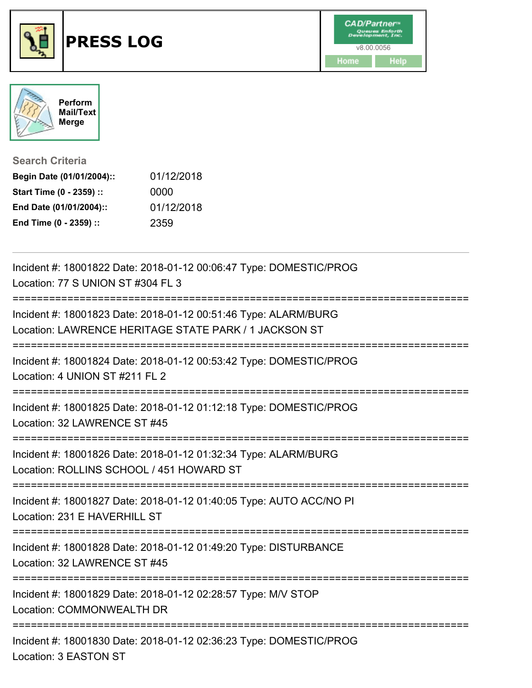





**Mail/Text**

**Search Criteria**

| Begin Date (01/01/2004):: | 01/12/2018 |
|---------------------------|------------|
| Start Time (0 - 2359) ::  | 0000       |
| End Date (01/01/2004)::   | 01/12/2018 |
| End Time (0 - 2359) ::    | 2359       |

| Incident #: 18001822 Date: 2018-01-12 00:06:47 Type: DOMESTIC/PROG<br>Location: 77 S UNION ST #304 FL 3                                               |
|-------------------------------------------------------------------------------------------------------------------------------------------------------|
| -------------------------<br>Incident #: 18001823 Date: 2018-01-12 00:51:46 Type: ALARM/BURG<br>Location: LAWRENCE HERITAGE STATE PARK / 1 JACKSON ST |
| Incident #: 18001824 Date: 2018-01-12 00:53:42 Type: DOMESTIC/PROG<br>Location: 4 UNION ST #211 FL 2                                                  |
| Incident #: 18001825 Date: 2018-01-12 01:12:18 Type: DOMESTIC/PROG<br>Location: 32 LAWRENCE ST #45                                                    |
| Incident #: 18001826 Date: 2018-01-12 01:32:34 Type: ALARM/BURG<br>Location: ROLLINS SCHOOL / 451 HOWARD ST<br>--------------------------             |
| Incident #: 18001827 Date: 2018-01-12 01:40:05 Type: AUTO ACC/NO PI<br>Location: 231 E HAVERHILL ST                                                   |
| Incident #: 18001828 Date: 2018-01-12 01:49:20 Type: DISTURBANCE<br>Location: 32 LAWRENCE ST #45                                                      |
| Incident #: 18001829 Date: 2018-01-12 02:28:57 Type: M/V STOP<br>Location: COMMONWEALTH DR                                                            |
| Incident #: 18001830 Date: 2018-01-12 02:36:23 Type: DOMESTIC/PROG<br>Location: 3 EASTON ST                                                           |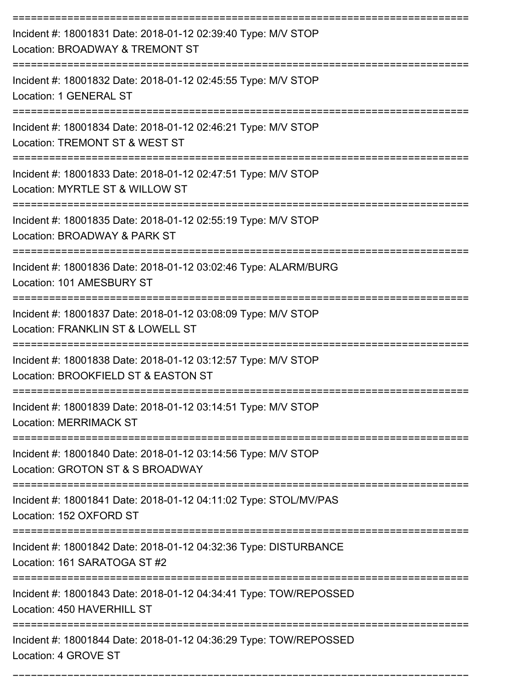| Incident #: 18001831 Date: 2018-01-12 02:39:40 Type: M/V STOP<br>Location: BROADWAY & TREMONT ST     |
|------------------------------------------------------------------------------------------------------|
| Incident #: 18001832 Date: 2018-01-12 02:45:55 Type: M/V STOP<br>Location: 1 GENERAL ST              |
| Incident #: 18001834 Date: 2018-01-12 02:46:21 Type: M/V STOP<br>Location: TREMONT ST & WEST ST      |
| Incident #: 18001833 Date: 2018-01-12 02:47:51 Type: M/V STOP<br>Location: MYRTLE ST & WILLOW ST     |
| Incident #: 18001835 Date: 2018-01-12 02:55:19 Type: M/V STOP<br>Location: BROADWAY & PARK ST        |
| Incident #: 18001836 Date: 2018-01-12 03:02:46 Type: ALARM/BURG<br>Location: 101 AMESBURY ST         |
| Incident #: 18001837 Date: 2018-01-12 03:08:09 Type: M/V STOP<br>Location: FRANKLIN ST & LOWELL ST   |
| Incident #: 18001838 Date: 2018-01-12 03:12:57 Type: M/V STOP<br>Location: BROOKFIELD ST & EASTON ST |
| Incident #: 18001839 Date: 2018-01-12 03:14:51 Type: M/V STOP<br><b>Location: MERRIMACK ST</b>       |
| Incident #: 18001840 Date: 2018-01-12 03:14:56 Type: M/V STOP<br>Location: GROTON ST & S BROADWAY    |
| Incident #: 18001841 Date: 2018-01-12 04:11:02 Type: STOL/MV/PAS<br>Location: 152 OXFORD ST          |
| Incident #: 18001842 Date: 2018-01-12 04:32:36 Type: DISTURBANCE<br>Location: 161 SARATOGA ST #2     |
| Incident #: 18001843 Date: 2018-01-12 04:34:41 Type: TOW/REPOSSED<br>Location: 450 HAVERHILL ST      |
| Incident #: 18001844 Date: 2018-01-12 04:36:29 Type: TOW/REPOSSED<br>Location: 4 GROVE ST            |

===========================================================================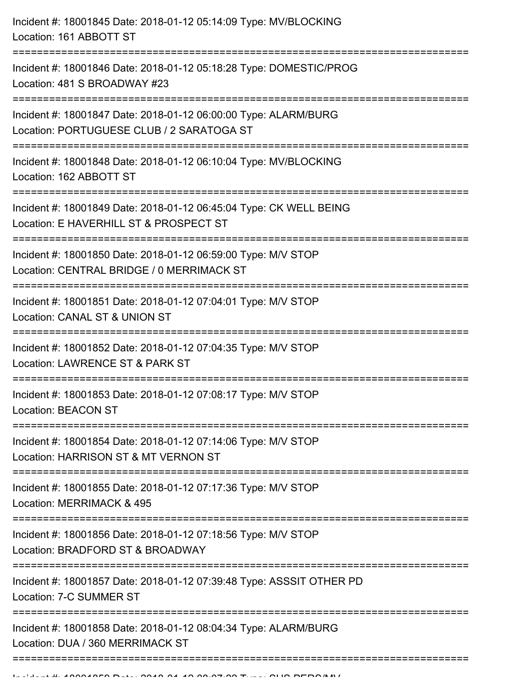| Incident #: 18001845 Date: 2018-01-12 05:14:09 Type: MV/BLOCKING<br>Location: 161 ABBOTT ST                                              |
|------------------------------------------------------------------------------------------------------------------------------------------|
| Incident #: 18001846 Date: 2018-01-12 05:18:28 Type: DOMESTIC/PROG<br>Location: 481 S BROADWAY #23<br>================================== |
| Incident #: 18001847 Date: 2018-01-12 06:00:00 Type: ALARM/BURG<br>Location: PORTUGUESE CLUB / 2 SARATOGA ST                             |
| Incident #: 18001848 Date: 2018-01-12 06:10:04 Type: MV/BLOCKING<br>Location: 162 ABBOTT ST                                              |
| Incident #: 18001849 Date: 2018-01-12 06:45:04 Type: CK WELL BEING<br>Location: E HAVERHILL ST & PROSPECT ST                             |
| Incident #: 18001850 Date: 2018-01-12 06:59:00 Type: M/V STOP<br>Location: CENTRAL BRIDGE / 0 MERRIMACK ST<br>========================== |
| Incident #: 18001851 Date: 2018-01-12 07:04:01 Type: M/V STOP<br>Location: CANAL ST & UNION ST                                           |
| Incident #: 18001852 Date: 2018-01-12 07:04:35 Type: M/V STOP<br>Location: LAWRENCE ST & PARK ST                                         |
| Incident #: 18001853 Date: 2018-01-12 07:08:17 Type: M/V STOP<br><b>Location: BEACON ST</b>                                              |
| Incident #: 18001854 Date: 2018-01-12 07:14:06 Type: M/V STOP<br>Location: HARRISON ST & MT VERNON ST                                    |
| Incident #: 18001855 Date: 2018-01-12 07:17:36 Type: M/V STOP<br>Location: MERRIMACK & 495                                               |
| Incident #: 18001856 Date: 2018-01-12 07:18:56 Type: M/V STOP<br>Location: BRADFORD ST & BROADWAY                                        |
| Incident #: 18001857 Date: 2018-01-12 07:39:48 Type: ASSSIT OTHER PD<br>Location: 7-C SUMMER ST                                          |
| Incident #: 18001858 Date: 2018-01-12 08:04:34 Type: ALARM/BURG<br>Location: DUA / 360 MERRIMACK ST                                      |
|                                                                                                                                          |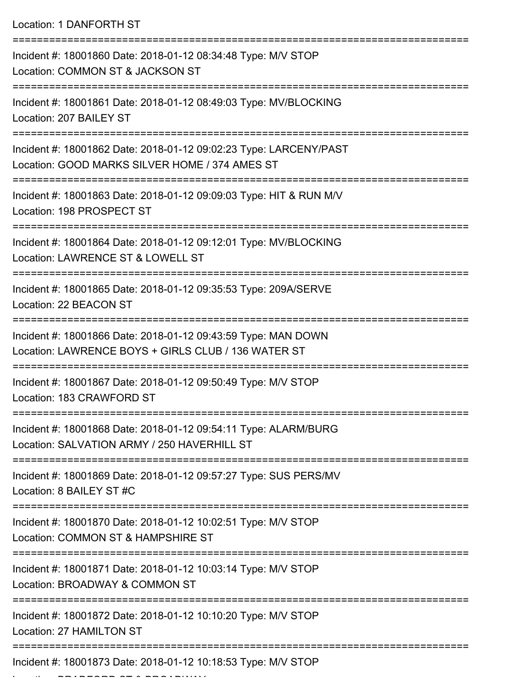Location: 1 DANFORTH ST

| Incident #: 18001860 Date: 2018-01-12 08:34:48 Type: M/V STOP<br>Location: COMMON ST & JACKSON ST                                                       |
|---------------------------------------------------------------------------------------------------------------------------------------------------------|
| Incident #: 18001861 Date: 2018-01-12 08:49:03 Type: MV/BLOCKING<br>Location: 207 BAILEY ST                                                             |
| Incident #: 18001862 Date: 2018-01-12 09:02:23 Type: LARCENY/PAST<br>Location: GOOD MARKS SILVER HOME / 374 AMES ST<br>. <u>__________________</u> ____ |
| Incident #: 18001863 Date: 2018-01-12 09:09:03 Type: HIT & RUN M/V<br>Location: 198 PROSPECT ST                                                         |
| Incident #: 18001864 Date: 2018-01-12 09:12:01 Type: MV/BLOCKING<br>Location: LAWRENCE ST & LOWELL ST                                                   |
| Incident #: 18001865 Date: 2018-01-12 09:35:53 Type: 209A/SERVE<br>Location: 22 BEACON ST                                                               |
| Incident #: 18001866 Date: 2018-01-12 09:43:59 Type: MAN DOWN<br>Location: LAWRENCE BOYS + GIRLS CLUB / 136 WATER ST<br>:=======================        |
| Incident #: 18001867 Date: 2018-01-12 09:50:49 Type: M/V STOP<br>Location: 183 CRAWFORD ST                                                              |
| Incident #: 18001868 Date: 2018-01-12 09:54:11 Type: ALARM/BURG<br>Location: SALVATION ARMY / 250 HAVERHILL ST                                          |
| Incident #: 18001869 Date: 2018-01-12 09:57:27 Type: SUS PERS/MV<br>Location: 8 BAILEY ST #C                                                            |
| Incident #: 18001870 Date: 2018-01-12 10:02:51 Type: M/V STOP<br>Location: COMMON ST & HAMPSHIRE ST                                                     |
| =======================<br>Incident #: 18001871 Date: 2018-01-12 10:03:14 Type: M/V STOP<br>Location: BROADWAY & COMMON ST                              |
| Incident #: 18001872 Date: 2018-01-12 10:10:20 Type: M/V STOP<br>Location: 27 HAMILTON ST                                                               |
| Incident #: 18001873 Date: 2018-01-12 10:18:53 Type: M/V STOP                                                                                           |

Location: BRADFORD ST & BROADWAY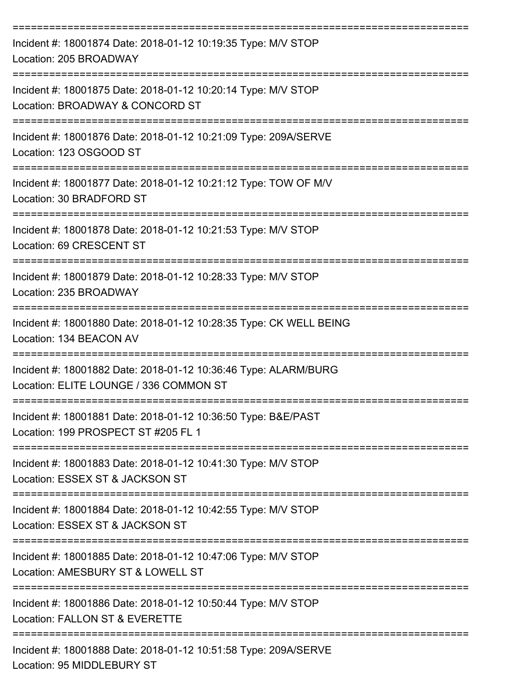| Incident #: 18001874 Date: 2018-01-12 10:19:35 Type: M/V STOP<br>Location: 205 BROADWAY                                            |
|------------------------------------------------------------------------------------------------------------------------------------|
| Incident #: 18001875 Date: 2018-01-12 10:20:14 Type: M/V STOP<br>Location: BROADWAY & CONCORD ST                                   |
| Incident #: 18001876 Date: 2018-01-12 10:21:09 Type: 209A/SERVE<br>Location: 123 OSGOOD ST                                         |
| Incident #: 18001877 Date: 2018-01-12 10:21:12 Type: TOW OF M/V<br>Location: 30 BRADFORD ST                                        |
| Incident #: 18001878 Date: 2018-01-12 10:21:53 Type: M/V STOP<br>Location: 69 CRESCENT ST                                          |
| Incident #: 18001879 Date: 2018-01-12 10:28:33 Type: M/V STOP<br>Location: 235 BROADWAY                                            |
| Incident #: 18001880 Date: 2018-01-12 10:28:35 Type: CK WELL BEING<br>Location: 134 BEACON AV                                      |
| Incident #: 18001882 Date: 2018-01-12 10:36:46 Type: ALARM/BURG<br>Location: ELITE LOUNGE / 336 COMMON ST                          |
| Incident #: 18001881 Date: 2018-01-12 10:36:50 Type: B&E/PAST<br>Location: 199 PROSPECT ST #205 FL 1                               |
| ==============================<br>Incident #: 18001883 Date: 2018-01-12 10:41:30 Type: M/V STOP<br>Location: ESSEX ST & JACKSON ST |
| Incident #: 18001884 Date: 2018-01-12 10:42:55 Type: M/V STOP<br>Location: ESSEX ST & JACKSON ST                                   |
| Incident #: 18001885 Date: 2018-01-12 10:47:06 Type: M/V STOP<br>Location: AMESBURY ST & LOWELL ST                                 |
| Incident #: 18001886 Date: 2018-01-12 10:50:44 Type: M/V STOP<br>Location: FALLON ST & EVERETTE                                    |
| Incident #: 18001888 Date: 2018-01-12 10:51:58 Type: 209A/SERVE<br>Location: 95 MIDDLEBURY ST                                      |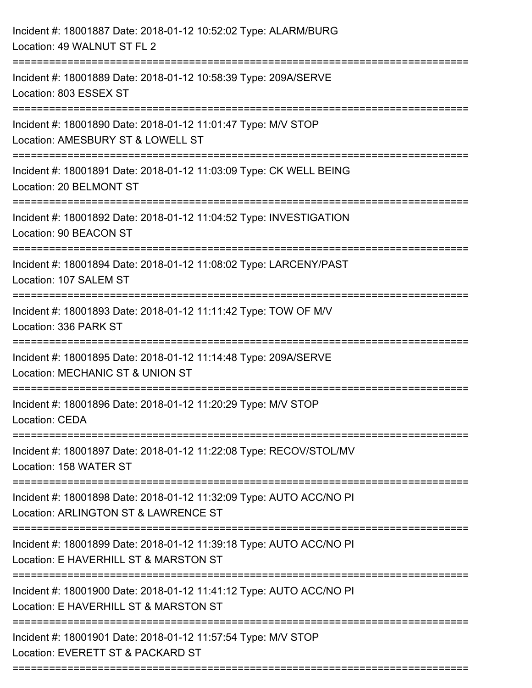| Incident #: 18001887 Date: 2018-01-12 10:52:02 Type: ALARM/BURG<br>Location: 49 WALNUT ST FL 2                                            |
|-------------------------------------------------------------------------------------------------------------------------------------------|
| Incident #: 18001889 Date: 2018-01-12 10:58:39 Type: 209A/SERVE<br>Location: 803 ESSEX ST                                                 |
| Incident #: 18001890 Date: 2018-01-12 11:01:47 Type: M/V STOP<br>Location: AMESBURY ST & LOWELL ST                                        |
| Incident #: 18001891 Date: 2018-01-12 11:03:09 Type: CK WELL BEING<br>Location: 20 BELMONT ST                                             |
| Incident #: 18001892 Date: 2018-01-12 11:04:52 Type: INVESTIGATION<br>Location: 90 BEACON ST                                              |
| Incident #: 18001894 Date: 2018-01-12 11:08:02 Type: LARCENY/PAST<br>Location: 107 SALEM ST                                               |
| Incident #: 18001893 Date: 2018-01-12 11:11:42 Type: TOW OF M/V<br>Location: 336 PARK ST                                                  |
| Incident #: 18001895 Date: 2018-01-12 11:14:48 Type: 209A/SERVE<br>Location: MECHANIC ST & UNION ST                                       |
| Incident #: 18001896 Date: 2018-01-12 11:20:29 Type: M/V STOP<br>Location: CEDA                                                           |
| Incident #: 18001897 Date: 2018-01-12 11:22:08 Type: RECOV/STOL/MV<br>Location: 158 WATER ST                                              |
| Incident #: 18001898 Date: 2018-01-12 11:32:09 Type: AUTO ACC/NO PI<br>Location: ARLINGTON ST & LAWRENCE ST                               |
| Incident #: 18001899 Date: 2018-01-12 11:39:18 Type: AUTO ACC/NO PI<br>Location: E HAVERHILL ST & MARSTON ST                              |
| :========================<br>Incident #: 18001900 Date: 2018-01-12 11:41:12 Type: AUTO ACC/NO PI<br>Location: E HAVERHILL ST & MARSTON ST |
| Incident #: 18001901 Date: 2018-01-12 11:57:54 Type: M/V STOP<br>Location: EVERETT ST & PACKARD ST                                        |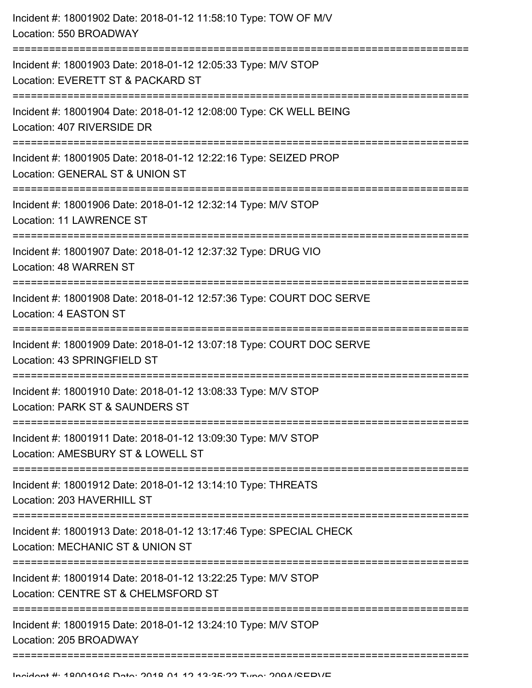| Incident #: 18001902 Date: 2018-01-12 11:58:10 Type: TOW OF M/V<br>Location: 550 BROADWAY                                                  |
|--------------------------------------------------------------------------------------------------------------------------------------------|
| Incident #: 18001903 Date: 2018-01-12 12:05:33 Type: M/V STOP<br>Location: EVERETT ST & PACKARD ST                                         |
| Incident #: 18001904 Date: 2018-01-12 12:08:00 Type: CK WELL BEING<br>Location: 407 RIVERSIDE DR                                           |
| Incident #: 18001905 Date: 2018-01-12 12:22:16 Type: SEIZED PROP<br>Location: GENERAL ST & UNION ST<br>;================================== |
| Incident #: 18001906 Date: 2018-01-12 12:32:14 Type: M/V STOP<br><b>Location: 11 LAWRENCE ST</b>                                           |
| Incident #: 18001907 Date: 2018-01-12 12:37:32 Type: DRUG VIO<br>Location: 48 WARREN ST                                                    |
| Incident #: 18001908 Date: 2018-01-12 12:57:36 Type: COURT DOC SERVE<br>Location: 4 EASTON ST                                              |
| Incident #: 18001909 Date: 2018-01-12 13:07:18 Type: COURT DOC SERVE<br>Location: 43 SPRINGFIELD ST                                        |
| Incident #: 18001910 Date: 2018-01-12 13:08:33 Type: M/V STOP<br>Location: PARK ST & SAUNDERS ST                                           |
| Incident #: 18001911 Date: 2018-01-12 13:09:30 Type: M/V STOP<br>Location: AMESBURY ST & LOWELL ST                                         |
| Incident #: 18001912 Date: 2018-01-12 13:14:10 Type: THREATS<br>Location: 203 HAVERHILL ST                                                 |
| Incident #: 18001913 Date: 2018-01-12 13:17:46 Type: SPECIAL CHECK<br>Location: MECHANIC ST & UNION ST                                     |
| Incident #: 18001914 Date: 2018-01-12 13:22:25 Type: M/V STOP<br>Location: CENTRE ST & CHELMSFORD ST                                       |
| Incident #: 18001915 Date: 2018-01-12 13:24:10 Type: M/V STOP<br>Location: 205 BROADWAY                                                    |
|                                                                                                                                            |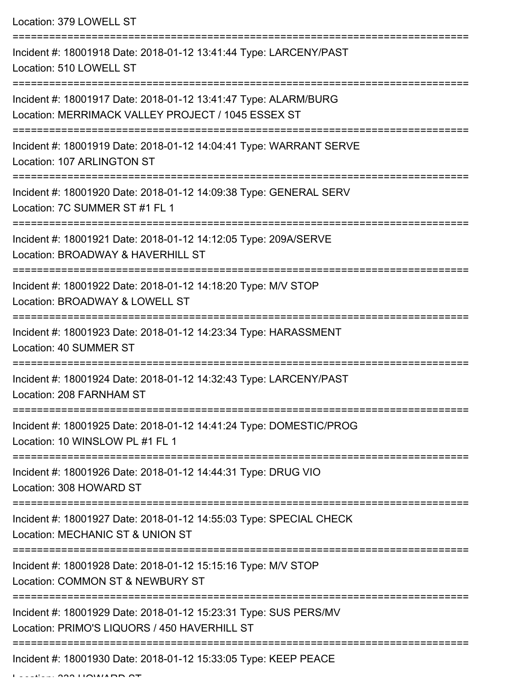Location: 379 LOWELL ST

| Incident #: 18001918 Date: 2018-01-12 13:41:44 Type: LARCENY/PAST<br>Location: 510 LOWELL ST                                                           |
|--------------------------------------------------------------------------------------------------------------------------------------------------------|
| Incident #: 18001917 Date: 2018-01-12 13:41:47 Type: ALARM/BURG<br>Location: MERRIMACK VALLEY PROJECT / 1045 ESSEX ST                                  |
| Incident #: 18001919 Date: 2018-01-12 14:04:41 Type: WARRANT SERVE<br>Location: 107 ARLINGTON ST                                                       |
| Incident #: 18001920 Date: 2018-01-12 14:09:38 Type: GENERAL SERV<br>Location: 7C SUMMER ST #1 FL 1                                                    |
| Incident #: 18001921 Date: 2018-01-12 14:12:05 Type: 209A/SERVE<br>Location: BROADWAY & HAVERHILL ST                                                   |
| Incident #: 18001922 Date: 2018-01-12 14:18:20 Type: M/V STOP<br>Location: BROADWAY & LOWELL ST                                                        |
| Incident #: 18001923 Date: 2018-01-12 14:23:34 Type: HARASSMENT<br>Location: 40 SUMMER ST                                                              |
| Incident #: 18001924 Date: 2018-01-12 14:32:43 Type: LARCENY/PAST<br>Location: 208 FARNHAM ST                                                          |
| Incident #: 18001925 Date: 2018-01-12 14:41:24 Type: DOMESTIC/PROG<br>Location: 10 WINSLOW PL #1 FL 1                                                  |
| Incident #: 18001926 Date: 2018-01-12 14:44:31 Type: DRUG VIO<br>Location: 308 HOWARD ST                                                               |
| Incident #: 18001927 Date: 2018-01-12 14:55:03 Type: SPECIAL CHECK<br>Location: MECHANIC ST & UNION ST<br>-------------------------                    |
| Incident #: 18001928 Date: 2018-01-12 15:15:16 Type: M/V STOP<br>Location: COMMON ST & NEWBURY ST                                                      |
| Incident #: 18001929 Date: 2018-01-12 15:23:31 Type: SUS PERS/MV<br>Location: PRIMO'S LIQUORS / 450 HAVERHILL ST<br>---------------------------------- |
| Incident #: 18001930 Date: 2018-01-12 15:33:05 Type: KEEP PEACE                                                                                        |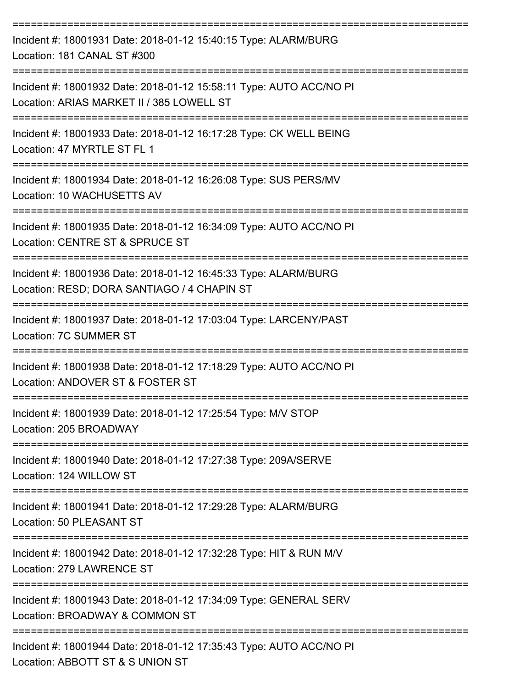| Incident #: 18001931 Date: 2018-01-12 15:40:15 Type: ALARM/BURG<br>Location: 181 CANAL ST #300                                               |
|----------------------------------------------------------------------------------------------------------------------------------------------|
| Incident #: 18001932 Date: 2018-01-12 15:58:11 Type: AUTO ACC/NO PI<br>Location: ARIAS MARKET II / 385 LOWELL ST                             |
| Incident #: 18001933 Date: 2018-01-12 16:17:28 Type: CK WELL BEING<br>Location: 47 MYRTLE ST FL 1                                            |
| Incident #: 18001934 Date: 2018-01-12 16:26:08 Type: SUS PERS/MV<br>Location: 10 WACHUSETTS AV                                               |
| Incident #: 18001935 Date: 2018-01-12 16:34:09 Type: AUTO ACC/NO PI<br>Location: CENTRE ST & SPRUCE ST                                       |
| Incident #: 18001936 Date: 2018-01-12 16:45:33 Type: ALARM/BURG<br>Location: RESD; DORA SANTIAGO / 4 CHAPIN ST                               |
| Incident #: 18001937 Date: 2018-01-12 17:03:04 Type: LARCENY/PAST<br><b>Location: 7C SUMMER ST</b>                                           |
| Incident #: 18001938 Date: 2018-01-12 17:18:29 Type: AUTO ACC/NO PI<br>Location: ANDOVER ST & FOSTER ST                                      |
| Incident #: 18001939 Date: 2018-01-12 17:25:54 Type: M/V STOP<br>Location: 205 BROADWAY                                                      |
| --------===================<br>Incident #: 18001940 Date: 2018-01-12 17:27:38 Type: 209A/SERVE<br>Location: 124 WILLOW ST                    |
| Incident #: 18001941 Date: 2018-01-12 17:29:28 Type: ALARM/BURG<br>Location: 50 PLEASANT ST                                                  |
| ==========================<br>Incident #: 18001942 Date: 2018-01-12 17:32:28 Type: HIT & RUN M/V<br>Location: 279 LAWRENCE ST                |
| Incident #: 18001943 Date: 2018-01-12 17:34:09 Type: GENERAL SERV<br>Location: BROADWAY & COMMON ST                                          |
| ---------------------------------<br>Incident #: 18001944 Date: 2018-01-12 17:35:43 Type: AUTO ACC/NO PI<br>Location: ABBOTT ST & S UNION ST |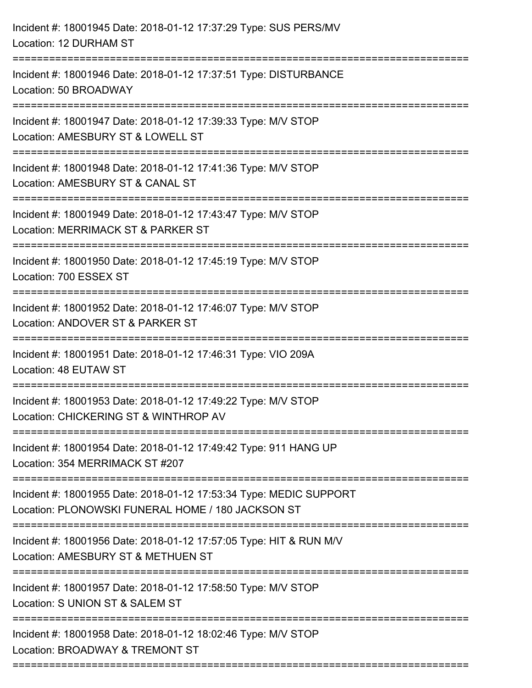| Incident #: 18001945 Date: 2018-01-12 17:37:29 Type: SUS PERS/MV<br>Location: 12 DURHAM ST                                            |
|---------------------------------------------------------------------------------------------------------------------------------------|
| Incident #: 18001946 Date: 2018-01-12 17:37:51 Type: DISTURBANCE<br>Location: 50 BROADWAY                                             |
| Incident #: 18001947 Date: 2018-01-12 17:39:33 Type: M/V STOP<br>Location: AMESBURY ST & LOWELL ST                                    |
| Incident #: 18001948 Date: 2018-01-12 17:41:36 Type: M/V STOP<br>Location: AMESBURY ST & CANAL ST                                     |
| Incident #: 18001949 Date: 2018-01-12 17:43:47 Type: M/V STOP<br>Location: MERRIMACK ST & PARKER ST<br>============================== |
| Incident #: 18001950 Date: 2018-01-12 17:45:19 Type: M/V STOP<br>Location: 700 ESSEX ST<br>:================                          |
| Incident #: 18001952 Date: 2018-01-12 17:46:07 Type: M/V STOP<br>Location: ANDOVER ST & PARKER ST                                     |
| Incident #: 18001951 Date: 2018-01-12 17:46:31 Type: VIO 209A<br>Location: 48 EUTAW ST                                                |
| Incident #: 18001953 Date: 2018-01-12 17:49:22 Type: M/V STOP<br>Location: CHICKERING ST & WINTHROP AV                                |
| Incident #: 18001954 Date: 2018-01-12 17:49:42 Type: 911 HANG UP<br>Location: 354 MERRIMACK ST #207                                   |
| Incident #: 18001955 Date: 2018-01-12 17:53:34 Type: MEDIC SUPPORT<br>Location: PLONOWSKI FUNERAL HOME / 180 JACKSON ST               |
| Incident #: 18001956 Date: 2018-01-12 17:57:05 Type: HIT & RUN M/V<br>Location: AMESBURY ST & METHUEN ST                              |
| Incident #: 18001957 Date: 2018-01-12 17:58:50 Type: M/V STOP<br>Location: S UNION ST & SALEM ST                                      |
| Incident #: 18001958 Date: 2018-01-12 18:02:46 Type: M/V STOP<br>Location: BROADWAY & TREMONT ST                                      |
|                                                                                                                                       |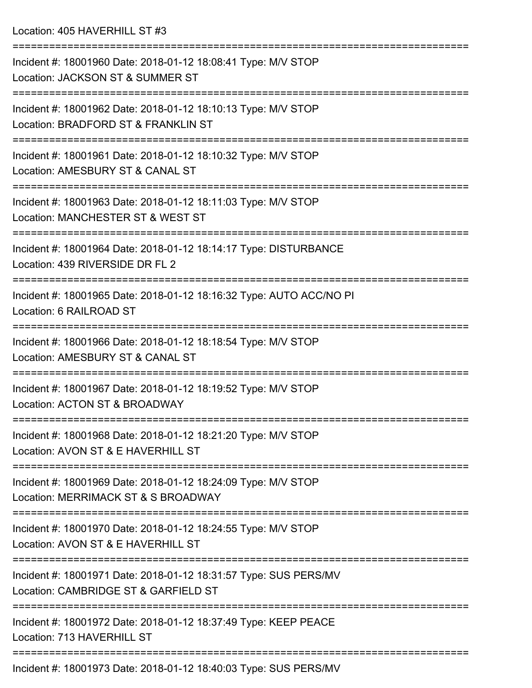| Incident #: 18001960 Date: 2018-01-12 18:08:41 Type: M/V STOP<br>Location: JACKSON ST & SUMMER ST                                |
|----------------------------------------------------------------------------------------------------------------------------------|
| Incident #: 18001962 Date: 2018-01-12 18:10:13 Type: M/V STOP<br>Location: BRADFORD ST & FRANKLIN ST                             |
| Incident #: 18001961 Date: 2018-01-12 18:10:32 Type: M/V STOP<br>Location: AMESBURY ST & CANAL ST<br>--------------------------- |
| Incident #: 18001963 Date: 2018-01-12 18:11:03 Type: M/V STOP<br>Location: MANCHESTER ST & WEST ST                               |
| Incident #: 18001964 Date: 2018-01-12 18:14:17 Type: DISTURBANCE<br>Location: 439 RIVERSIDE DR FL 2                              |
| Incident #: 18001965 Date: 2018-01-12 18:16:32 Type: AUTO ACC/NO PI<br>Location: 6 RAILROAD ST                                   |
| Incident #: 18001966 Date: 2018-01-12 18:18:54 Type: M/V STOP<br>Location: AMESBURY ST & CANAL ST                                |
| Incident #: 18001967 Date: 2018-01-12 18:19:52 Type: M/V STOP<br>Location: ACTON ST & BROADWAY                                   |
| Incident #: 18001968 Date: 2018-01-12 18:21:20 Type: M/V STOP<br>Location: AVON ST & E HAVERHILL ST                              |
| Incident #: 18001969 Date: 2018-01-12 18:24:09 Type: M/V STOP<br>Location: MERRIMACK ST & S BROADWAY                             |
| Incident #: 18001970 Date: 2018-01-12 18:24:55 Type: M/V STOP<br>Location: AVON ST & E HAVERHILL ST                              |
| Incident #: 18001971 Date: 2018-01-12 18:31:57 Type: SUS PERS/MV<br>Location: CAMBRIDGE ST & GARFIELD ST                         |
| Incident #: 18001972 Date: 2018-01-12 18:37:49 Type: KEEP PEACE<br>Location: 713 HAVERHILL ST                                    |
| Incident #: 18001973 Date: 2018-01-12 18:40:03 Type: SUS PERS/MV                                                                 |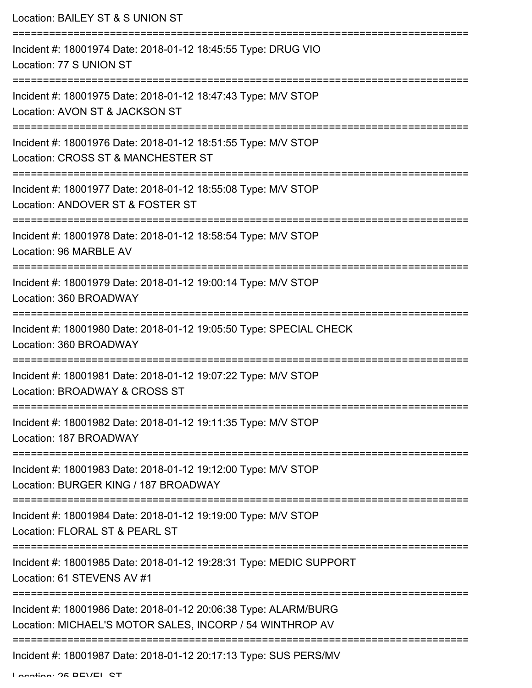| Location: BAILEY ST & S UNION ST                                                                                                       |
|----------------------------------------------------------------------------------------------------------------------------------------|
| Incident #: 18001974 Date: 2018-01-12 18:45:55 Type: DRUG VIO<br>Location: 77 S UNION ST                                               |
| Incident #: 18001975 Date: 2018-01-12 18:47:43 Type: M/V STOP<br>Location: AVON ST & JACKSON ST                                        |
| Incident #: 18001976 Date: 2018-01-12 18:51:55 Type: M/V STOP<br>Location: CROSS ST & MANCHESTER ST                                    |
| Incident #: 18001977 Date: 2018-01-12 18:55:08 Type: M/V STOP<br>Location: ANDOVER ST & FOSTER ST                                      |
| Incident #: 18001978 Date: 2018-01-12 18:58:54 Type: M/V STOP<br>Location: 96 MARBLE AV                                                |
| Incident #: 18001979 Date: 2018-01-12 19:00:14 Type: M/V STOP<br>Location: 360 BROADWAY                                                |
| Incident #: 18001980 Date: 2018-01-12 19:05:50 Type: SPECIAL CHECK<br>Location: 360 BROADWAY                                           |
| Incident #: 18001981 Date: 2018-01-12 19:07:22 Type: M/V STOP<br>Location: BROADWAY & CROSS ST                                         |
| Incident #: 18001982 Date: 2018-01-12 19:11:35 Type: M/V STOP<br>Location: 187 BROADWAY                                                |
| Incident #: 18001983 Date: 2018-01-12 19:12:00 Type: M/V STOP<br>Location: BURGER KING / 187 BROADWAY                                  |
| Incident #: 18001984 Date: 2018-01-12 19:19:00 Type: M/V STOP<br>Location: FLORAL ST & PEARL ST                                        |
| ----------------------------------<br>Incident #: 18001985 Date: 2018-01-12 19:28:31 Type: MEDIC SUPPORT<br>Location: 61 STEVENS AV #1 |
| Incident #: 18001986 Date: 2018-01-12 20:06:38 Type: ALARM/BURG<br>Location: MICHAEL'S MOTOR SALES, INCORP / 54 WINTHROP AV            |
| Incident #: 18001987 Date: 2018-01-12 20:17:13 Type: SUS PERS/MV                                                                       |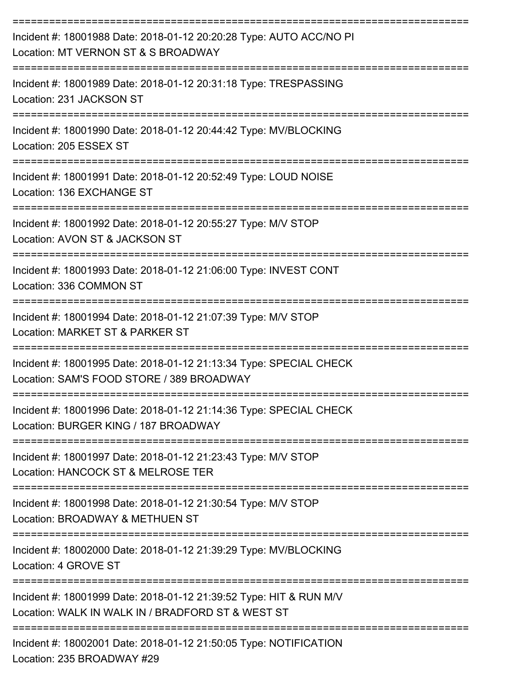| Incident #: 18001988 Date: 2018-01-12 20:20:28 Type: AUTO ACC/NO PI<br>Location: MT VERNON ST & S BROADWAY              |
|-------------------------------------------------------------------------------------------------------------------------|
| Incident #: 18001989 Date: 2018-01-12 20:31:18 Type: TRESPASSING<br>Location: 231 JACKSON ST                            |
| Incident #: 18001990 Date: 2018-01-12 20:44:42 Type: MV/BLOCKING<br>Location: 205 ESSEX ST                              |
| Incident #: 18001991 Date: 2018-01-12 20:52:49 Type: LOUD NOISE<br>Location: 136 EXCHANGE ST                            |
| Incident #: 18001992 Date: 2018-01-12 20:55:27 Type: M/V STOP<br>Location: AVON ST & JACKSON ST                         |
| Incident #: 18001993 Date: 2018-01-12 21:06:00 Type: INVEST CONT<br>Location: 336 COMMON ST                             |
| Incident #: 18001994 Date: 2018-01-12 21:07:39 Type: M/V STOP<br>Location: MARKET ST & PARKER ST                        |
| Incident #: 18001995 Date: 2018-01-12 21:13:34 Type: SPECIAL CHECK<br>Location: SAM'S FOOD STORE / 389 BROADWAY         |
| Incident #: 18001996 Date: 2018-01-12 21:14:36 Type: SPECIAL CHECK<br>Location: BURGER KING / 187 BROADWAY              |
| Incident #: 18001997 Date: 2018-01-12 21:23:43 Type: M/V STOP<br>Location: HANCOCK ST & MELROSE TER                     |
| Incident #: 18001998 Date: 2018-01-12 21:30:54 Type: M/V STOP<br>Location: BROADWAY & METHUEN ST                        |
| Incident #: 18002000 Date: 2018-01-12 21:39:29 Type: MV/BLOCKING<br>Location: 4 GROVE ST                                |
| Incident #: 18001999 Date: 2018-01-12 21:39:52 Type: HIT & RUN M/V<br>Location: WALK IN WALK IN / BRADFORD ST & WEST ST |
| Incident #: 18002001 Date: 2018-01-12 21:50:05 Type: NOTIFICATION<br>Location: 235 BROADWAY #29                         |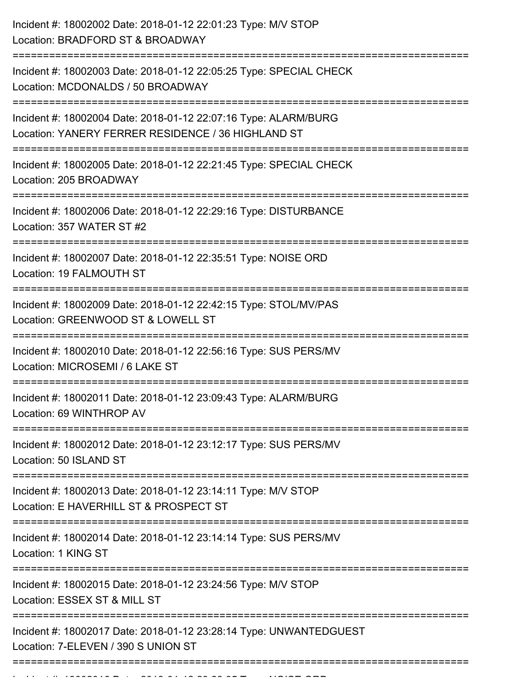Incident #: 18002016 Date: 2018 01 12 23:28:35 Type: NOISE ORD